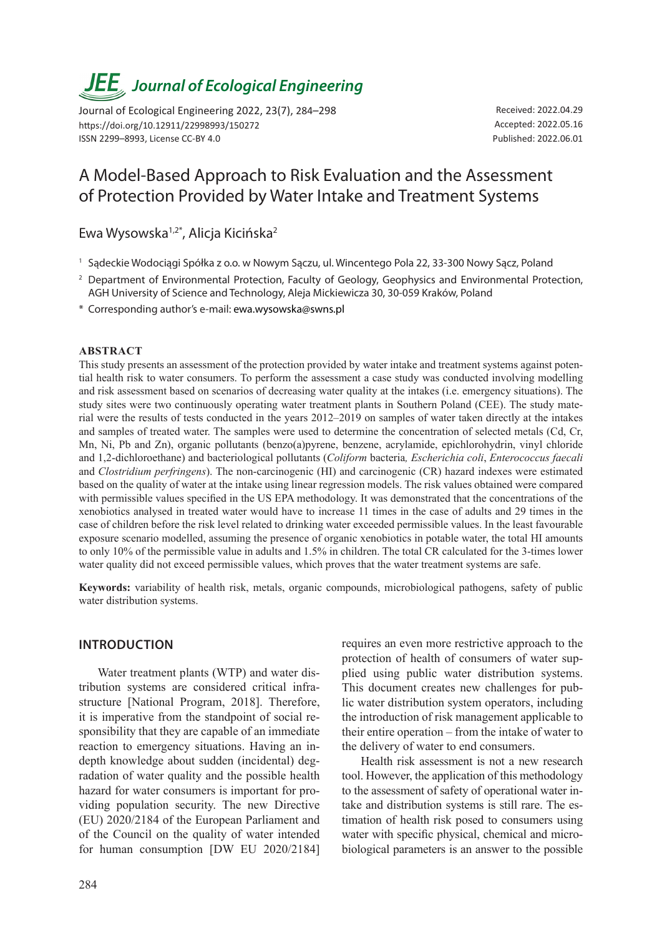# *JEE<sub>,</sub> Journal of Ecological Engineering*

Journal of Ecological Engineering 2022, 23(7), 284–298 https://doi.org/10.12911/22998993/150272 ISSN 2299–8993, License CC-BY 4.0

Received: 2022.04.29 Accepted: 2022.05.16 Published: 2022.06.01

# A Model-Based Approach to Risk Evaluation and the Assessment of Protection Provided by Water Intake and Treatment Systems

Ewa Wysowska1,2\*, Alicja Kicińska2

- <sup>1</sup> Sądeckie Wodociągi Spółka z o.o. w Nowym Sączu, ul. Wincentego Pola 22, 33-300 Nowy Sącz, Poland
- <sup>2</sup> Department of Environmental Protection, Faculty of Geology, Geophysics and Environmental Protection, AGH University of Science and Technology, Aleja Mickiewicza 30, 30-059 Kraków, Poland
- \* Corresponding author's e-mail: ewa.wysowska@swns.pl

#### **ABSTRACT**

This study presents an assessment of the protection provided by water intake and treatment systems against potential health risk to water consumers. To perform the assessment a case study was conducted involving modelling and risk assessment based on scenarios of decreasing water quality at the intakes (i.e. emergency situations). The study sites were two continuously operating water treatment plants in Southern Poland (CEE). The study material were the results of tests conducted in the years 2012–2019 on samples of water taken directly at the intakes and samples of treated water. The samples were used to determine the concentration of selected metals (Cd, Cr, Mn, Ni, Pb and Zn), organic pollutants (benzo(a)pyrene, benzene, acrylamide, epichlorohydrin, vinyl chloride and 1,2-dichloroethane) and bacteriological pollutants (*Coliform* bacteria*, Escherichia coli*, *Enterococcus faecali* and *Clostridium perfringens*). The non-carcinogenic (HI) and carcinogenic (CR) hazard indexes were estimated based on the quality of water at the intake using linear regression models. The risk values obtained were compared with permissible values specified in the US EPA methodology. It was demonstrated that the concentrations of the xenobiotics analysed in treated water would have to increase 11 times in the case of adults and 29 times in the case of children before the risk level related to drinking water exceeded permissible values. In the least favourable exposure scenario modelled, assuming the presence of organic xenobiotics in potable water, the total HI amounts to only 10% of the permissible value in adults and 1.5% in children. The total CR calculated for the 3-times lower water quality did not exceed permissible values, which proves that the water treatment systems are safe.

**Keywords:** variability of health risk, metals, organic compounds, microbiological pathogens, safety of public water distribution systems.

### **INTRODUCTION**

Water treatment plants (WTP) and water distribution systems are considered critical infrastructure [National Program, 2018]. Therefore, it is imperative from the standpoint of social responsibility that they are capable of an immediate reaction to emergency situations. Having an indepth knowledge about sudden (incidental) degradation of water quality and the possible health hazard for water consumers is important for providing population security. The new Directive (EU) 2020/2184 of the European Parliament and of the Council on the quality of water intended for human consumption [DW EU 2020/2184] requires an even more restrictive approach to the protection of health of consumers of water supplied using public water distribution systems. This document creates new challenges for public water distribution system operators, including the introduction of risk management applicable to their entire operation – from the intake of water to the delivery of water to end consumers.

Health risk assessment is not a new research tool. However, the application of this methodology to the assessment of safety of operational water intake and distribution systems is still rare. The estimation of health risk posed to consumers using water with specific physical, chemical and microbiological parameters is an answer to the possible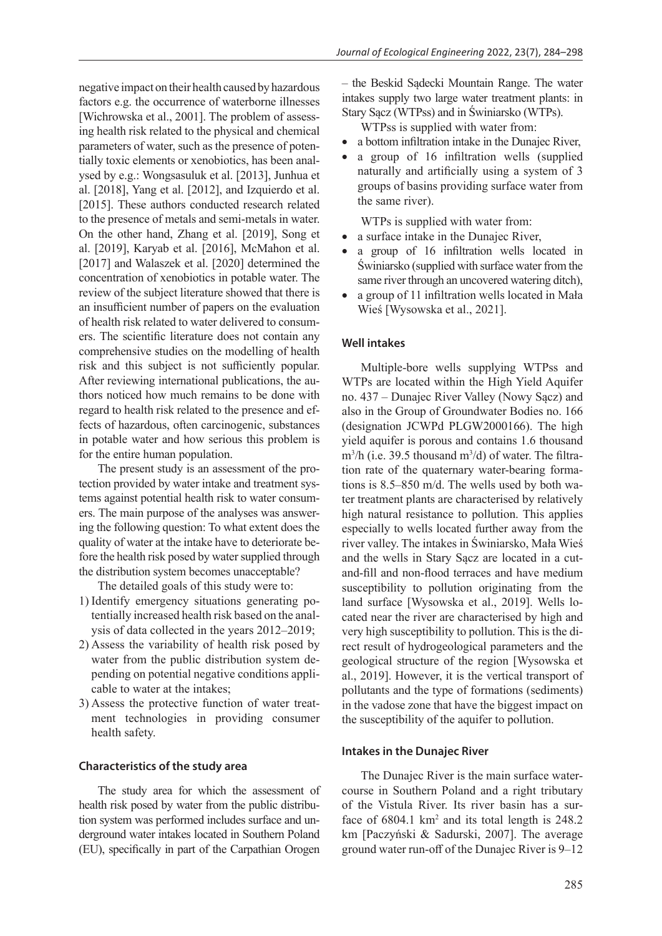negative impact on their health caused by hazardous factors e.g. the occurrence of waterborne illnesses [Wichrowska et al., 2001]. The problem of assessing health risk related to the physical and chemical parameters of water, such as the presence of potentially toxic elements or xenobiotics, has been analysed by e.g.: Wongsasuluk et al. [2013], Junhua et al. [2018], Yang et al. [2012], and Izquierdo et al. [2015]. These authors conducted research related to the presence of metals and semi-metals in water. On the other hand, Zhang et al. [2019], Song et al. [2019], Karyab et al. [2016], McMahon et al. [2017] and Walaszek et al. [2020] determined the concentration of xenobiotics in potable water. The review of the subject literature showed that there is an insufficient number of papers on the evaluation of health risk related to water delivered to consumers. The scientific literature does not contain any comprehensive studies on the modelling of health risk and this subject is not sufficiently popular. After reviewing international publications, the authors noticed how much remains to be done with regard to health risk related to the presence and effects of hazardous, often carcinogenic, substances in potable water and how serious this problem is for the entire human population.

The present study is an assessment of the protection provided by water intake and treatment systems against potential health risk to water consumers. The main purpose of the analyses was answering the following question: To what extent does the quality of water at the intake have to deteriorate before the health risk posed by water supplied through the distribution system becomes unacceptable?

The detailed goals of this study were to:

- 1) Identify emergency situations generating potentially increased health risk based on the analysis of data collected in the years 2012–2019;
- 2) Assess the variability of health risk posed by water from the public distribution system depending on potential negative conditions applicable to water at the intakes;
- 3) Assess the protective function of water treatment technologies in providing consumer health safety.

#### **Characteristics of the study area**

The study area for which the assessment of health risk posed by water from the public distribution system was performed includes surface and underground water intakes located in Southern Poland (EU), specifically in part of the Carpathian Orogen

– the Beskid Sądecki Mountain Range. The water intakes supply two large water treatment plants: in Stary Sącz (WTPss) and in Świniarsko (WTPs).

WTPss is supplied with water from:

- a bottom infiltration intake in the Dunajec River,
- a group of 16 infiltration wells (supplied naturally and artificially using a system of 3 groups of basins providing surface water from the same river).

WTPs is supplied with water from:

- a surface intake in the Dunajec River,
- a group of 16 infiltration wells located in Świniarsko (supplied with surface water from the same river through an uncovered watering ditch),
- a group of 11 infiltration wells located in Mała Wieś [Wysowska et al., 2021].

#### **Well intakes**

Multiple-bore wells supplying WTPss and WTPs are located within the High Yield Aquifer no. 437 – Dunajec River Valley (Nowy Sącz) and also in the Group of Groundwater Bodies no. 166 (designation JCWPd PLGW2000166). The high yield aquifer is porous and contains 1.6 thousand  $m^3/h$  (i.e. 39.5 thousand  $m^3/d$ ) of water. The filtration rate of the quaternary water-bearing formations is 8.5–850 m/d. The wells used by both water treatment plants are characterised by relatively high natural resistance to pollution. This applies especially to wells located further away from the river valley. The intakes in Świniarsko, Mała Wieś and the wells in Stary Sącz are located in a cutand-fill and non-flood terraces and have medium susceptibility to pollution originating from the land surface [Wysowska et al., 2019]. Wells located near the river are characterised by high and very high susceptibility to pollution. This is the direct result of hydrogeological parameters and the geological structure of the region [Wysowska et al., 2019]. However, it is the vertical transport of pollutants and the type of formations (sediments) in the vadose zone that have the biggest impact on the susceptibility of the aquifer to pollution.

#### **Intakes in the Dunajec River**

The Dunajec River is the main surface watercourse in Southern Poland and a right tributary of the Vistula River. Its river basin has a surface of  $6804.1 \text{ km}^2$  and its total length is  $248.2$ km [Paczyński & Sadurski, 2007]. The average ground water run-off of the Dunajec River is 9–12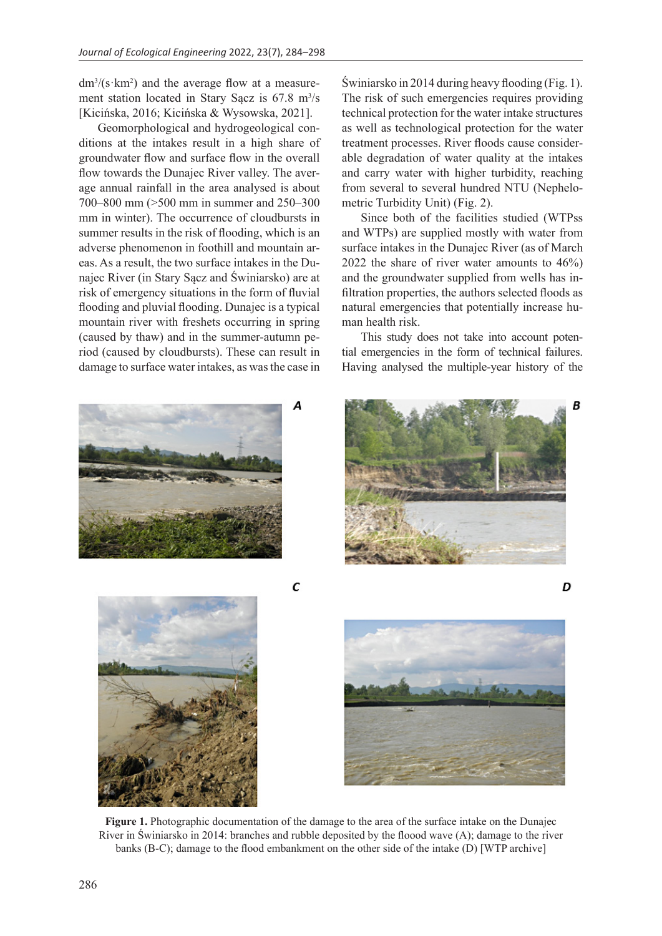$dm^{3}/(s \cdot km^{2})$  and the average flow at a measurement station located in Stary Sącz is  $67.8 \text{ m}^3/\text{s}$ [Kicińska, 2016; Kicińska & Wysowska, 2021].

Geomorphological and hydrogeological conditions at the intakes result in a high share of groundwater flow and surface flow in the overall flow towards the Dunajec River valley. The average annual rainfall in the area analysed is about 700–800 mm (>500 mm in summer and 250–300 mm in winter). The occurrence of cloudbursts in summer results in the risk of flooding, which is an adverse phenomenon in foothill and mountain areas. As a result, the two surface intakes in the Dunajec River (in Stary Sącz and Świniarsko) are at risk of emergency situations in the form of fluvial flooding and pluvial flooding. Dunajec is a typical mountain river with freshets occurring in spring (caused by thaw) and in the summer-autumn period (caused by cloudbursts). These can result in damage to surface water intakes, as was the case in Świniarsko in 2014 during heavy flooding (Fig. 1). The risk of such emergencies requires providing technical protection for the water intake structures as well as technological protection for the water treatment processes. River floods cause considerable degradation of water quality at the intakes and carry water with higher turbidity, reaching from several to several hundred NTU (Nephelometric Turbidity Unit) (Fig. 2).

Since both of the facilities studied (WTPss and WTPs) are supplied mostly with water from surface intakes in the Dunajec River (as of March 2022 the share of river water amounts to 46%) and the groundwater supplied from wells has infiltration properties, the authors selected floods as natural emergencies that potentially increase human health risk.

This study does not take into account potential emergencies in the form of technical failures. Having analysed the multiple-year history of the



**Figure 1.** Photographic documentation of the damage to the area of the surface intake on the Dunajec River in Świniarsko in 2014: branches and rubble deposited by the floood wave (A); damage to the river banks (B-C); damage to the flood embankment on the other side of the intake (D) [WTP archive]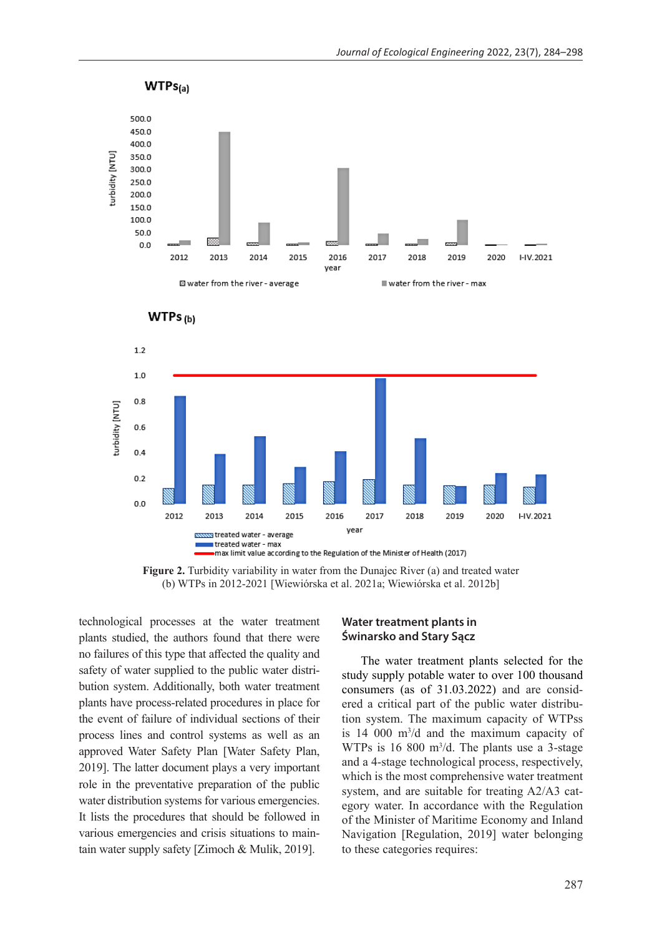



**Figure 2.** Turbidity variability in water from the Dunajec River (a) and treated water (b) WTPs in 2012-2021 [Wiewiórska et al. 2021a; Wiewiórska et al. 2012b]

technological processes at the water treatment plants studied, the authors found that there were no failures of this type that affected the quality and safety of water supplied to the public water distribution system. Additionally, both water treatment plants have process-related procedures in place for the event of failure of individual sections of their process lines and control systems as well as an approved Water Safety Plan [Water Safety Plan, 2019]. The latter document plays a very important role in the preventative preparation of the public water distribution systems for various emergencies. It lists the procedures that should be followed in various emergencies and crisis situations to maintain water supply safety [Zimoch & Mulik, 2019].

#### **Water treatment plants in Świnarsko and Stary Sącz**

The water treatment plants selected for the study supply potable water to over 100 thousand consumers (as of 31.03.2022) and are considered a critical part of the public water distribution system. The maximum capacity of WTPss is  $14\,000\,$  m<sup>3</sup>/d and the maximum capacity of WTPs is  $16\,800\,$  m<sup>3</sup>/d. The plants use a 3-stage and a 4-stage technological process, respectively, which is the most comprehensive water treatment system, and are suitable for treating A2/A3 category water. In accordance with the Regulation of the Minister of Maritime Economy and Inland Navigation [Regulation, 2019] water belonging to these categories requires: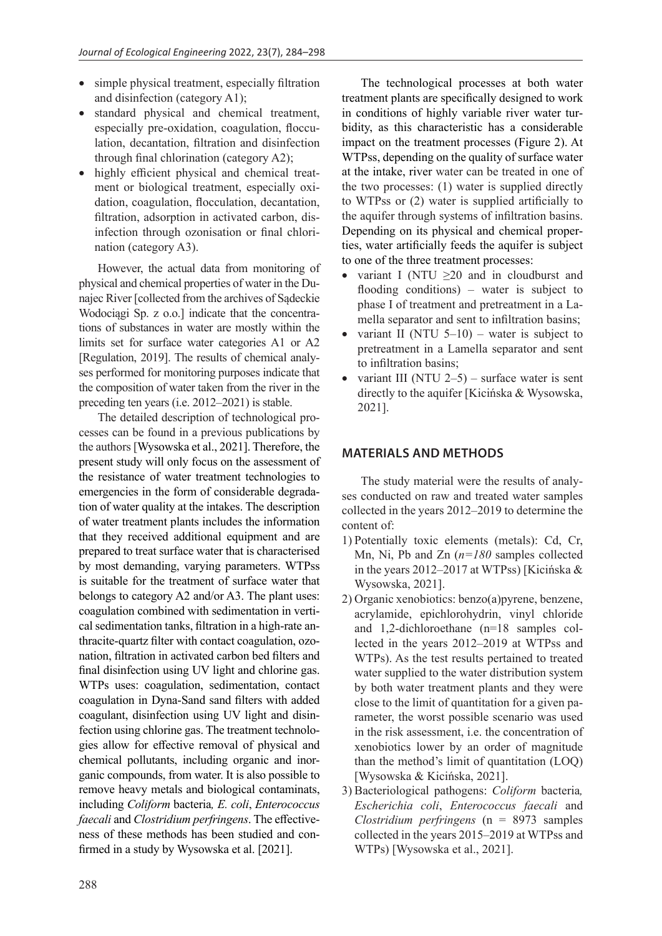- simple physical treatment, especially filtration and disinfection (category A1);
- standard physical and chemical treatment, especially pre-oxidation, coagulation, flocculation, decantation, filtration and disinfection through final chlorination (category A2);
- highly efficient physical and chemical treatment or biological treatment, especially oxidation, coagulation, flocculation, decantation, filtration, adsorption in activated carbon, disinfection through ozonisation or final chlorination (category A3).

However, the actual data from monitoring of physical and chemical properties of water in the Dunajec River [collected from the archives of Sądeckie Wodociągi Sp. z o.o.] indicate that the concentrations of substances in water are mostly within the limits set for surface water categories A1 or A2 [Regulation, 2019]. The results of chemical analyses performed for monitoring purposes indicate that the composition of water taken from the river in the preceding ten years (i.e. 2012–2021) is stable.

The detailed description of technological processes can be found in a previous publications by the authors [Wysowska et al., 2021]. Therefore, the present study will only focus on the assessment of the resistance of water treatment technologies to emergencies in the form of considerable degradation of water quality at the intakes. The description of water treatment plants includes the information that they received additional equipment and are prepared to treat surface water that is characterised by most demanding, varying parameters. WTPss is suitable for the treatment of surface water that belongs to category A2 and/or A3. The plant uses: coagulation combined with sedimentation in vertical sedimentation tanks, filtration in a high-rate anthracite-quartz filter with contact coagulation, ozonation, filtration in activated carbon bed filters and final disinfection using UV light and chlorine gas. WTPs uses: coagulation, sedimentation, contact coagulation in Dyna-Sand sand filters with added coagulant, disinfection using UV light and disinfection using chlorine gas. The treatment technologies allow for effective removal of physical and chemical pollutants, including organic and inorganic compounds, from water. It is also possible to remove heavy metals and biological contaminats, including *Coliform* bacteria*, E. coli*, *Enterococcus faecali* and *Clostridium perfringens*. The effectiveness of these methods has been studied and confirmed in a study by Wysowska et al. [2021].

The technological processes at both water treatment plants are specifically designed to work in conditions of highly variable river water turbidity, as this characteristic has a considerable impact on the treatment processes (Figure 2). At WTPss, depending on the quality of surface water at the intake, river water can be treated in one of the two processes: (1) water is supplied directly to WTPss or (2) water is supplied artificially to the aquifer through systems of infiltration basins. Depending on its physical and chemical properties, water artificially feeds the aquifer is subject to one of the three treatment processes:

- variant I (NTU  $\geq$ 20 and in cloudburst and flooding conditions) – water is subject to phase I of treatment and pretreatment in a Lamella separator and sent to infiltration basins;
- variant II (NTU  $5-10$ ) water is subject to pretreatment in a Lamella separator and sent to infiltration basins;
- variant III (NTU  $2-5$ ) surface water is sent directly to the aquifer [Kicińska & Wysowska, 2021].

# **MATERIALS AND METHODS**

The study material were the results of analyses conducted on raw and treated water samples collected in the years 2012–2019 to determine the content of:

- 1) Potentially toxic elements (metals): Cd, Cr, Mn, Ni, Pb and Zn (*n=180* samples collected in the years 2012–2017 at WTPss) [Kicińska & Wysowska, 2021].
- 2) Organic xenobiotics: benzo(a)pyrene, benzene, acrylamide, epichlorohydrin, vinyl chloride and 1,2-dichloroethane (n=18 samples collected in the years 2012–2019 at WTPss and WTPs). As the test results pertained to treated water supplied to the water distribution system by both water treatment plants and they were close to the limit of quantitation for a given parameter, the worst possible scenario was used in the risk assessment, i.e. the concentration of xenobiotics lower by an order of magnitude than the method's limit of quantitation (LOQ) [Wysowska & Kicińska, 2021].
- 3) Bacteriological pathogens: *Coliform* bacteria*, Escherichia coli*, *Enterococcus faecali* and *Clostridium perfringens* (n = 8973 samples collected in the years 2015–2019 at WTPss and WTPs) [Wysowska et al., 2021].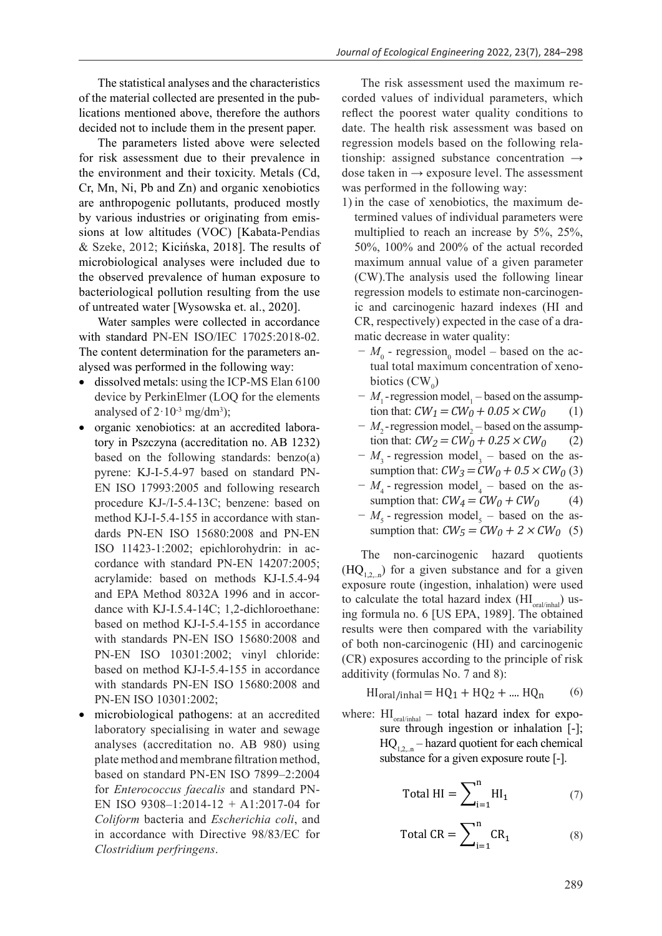The statistical analyses and the characteristics of the material collected are presented in the publications mentioned above, therefore the authors decided not to include them in the present paper.

The parameters listed above were selected for risk assessment due to their prevalence in the environment and their toxicity. Metals (Cd, Cr, Mn, Ni, Pb and Zn) and organic xenobiotics are anthropogenic pollutants, produced mostly by various industries or originating from emissions at low altitudes (VOC) [Kabata-Pendias & Szeke, 2012; Kicińska, 2018]. The results of microbiological analyses were included due to the observed prevalence of human exposure to bacteriological pollution resulting from the use of untreated water [Wysowska et. al., 2020].

Water samples were collected in accordance with standard PN-EN ISO/IEC 17025:2018-02. The content determination for the parameters analysed was performed in the following way:

- dissolved metals: using the ICP-MS Elan 6100 device by PerkinElmer (LOQ for the elements analysed of  $2 \cdot 10^{-3}$  mg/dm<sup>3</sup>);
- organic xenobiotics: at an accredited laboratory in Pszczyna (accreditation no. AB 1232) based on the following standards: benzo(a) pyrene: KJ-I-5.4-97 based on standard PN-EN ISO 17993:2005 and following research procedure KJ-/I-5.4-13C; benzene: based on method KJ-I-5.4-155 in accordance with standards PN-EN ISO 15680:2008 and PN-EN ISO 11423-1:2002; epichlorohydrin: in accordance with standard PN-EN 14207:2005; acrylamide: based on methods KJ-I.5.4-94 and EPA Method 8032A 1996 and in accordance with KJ-I.5.4-14C; 1,2-dichloroethane: based on method KJ-I-5.4-155 in accordance with standards PN-EN ISO 15680:2008 and PN-EN ISO 10301:2002; vinyl chloride: based on method KJ-I-5.4-155 in accordance with standards PN-EN ISO 15680:2008 and PN-EN ISO 10301:2002;
- microbiological pathogens: at an accredited laboratory specialising in water and sewage analyses (accreditation no. AB 980) using plate method and membrane filtration method, based on standard PN-EN ISO 7899–2:2004 for *Enterococcus faecalis* and standard PN-EN ISO 9308–1:2014-12 + A1:2017-04 for *Coliform* bacteria and *Escherichia coli*, and in accordance with Directive 98/83/EC for *Clostridium perfringens*.

The risk assessment used the maximum recorded values of individual parameters, which reflect the poorest water quality conditions to date. The health risk assessment was based on regression models based on the following relationship: assigned substance concentration  $\rightarrow$ dose taken in  $\rightarrow$  exposure level. The assessment was performed in the following way:

- 1) in the case of xenobiotics, the maximum determined values of individual parameters were multiplied to reach an increase by 5%, 25%, 50%, 100% and 200% of the actual recorded maximum annual value of a given parameter (CW).The analysis used the following linear regression models to estimate non-carcinogenic and carcinogenic hazard indexes (HI and CR, respectively) expected in the case of a dramatic decrease in water quality:
	- $-M$ <sub>0</sub> regression<sub>0</sub> model based on the actual total maximum concentration of xenobiotics  $(CW_0)$
	- −  $M_1$ -regression model<sub>1</sub> based on the assumption that:  $CW_1 = CW_0 + 0.05 \times CW_0$  (1)
	- −  $M_2$ -regression model<sub>2</sub> based on the assumption that:  $CW_2 = CW_0 + 0.25 \times CW_0$  (2)
	- $-M_3$  regression model<sub>3</sub> based on the assumption that:  $CW_3 = CW_0 + 0.5 \times CW_0$  (3)
	- $-M_4$  regression model<sub>4</sub> based on the assumption that:  $CW_4 = CW_0 + CW_0$  (4)
	- $-M<sub>5</sub>$  regression model<sub>5</sub> based on the assumption that:  $CW_5 = CW_0 + 2 \times CW_0$  (5)

The non-carcinogenic hazard quotients  $(HQ_{1,2,n})$  for a given substance and for a given exposure route (ingestion, inhalation) were used to calculate the total hazard index  $(HI_{\text{oralyinhal}})$  using formula no. 6 [US EPA, 1989]. The obtained results were then compared with the variability of both non-carcinogenic (HI) and carcinogenic (CR) exposures according to the principle of risk additivity (formulas No. 7 and 8):

$$
HI_{\text{oral/inhal}} = HQ_1 + HQ_2 + \dots + HQ_n \tag{6}
$$

where: HI<sub>oral/inhal</sub> – total hazard index for exposure through ingestion or inhalation [-];  $HQ_{1,2,...n}$  – hazard quotient for each chemical substance for a given exposure route [-].

$$
Total HI = \sum_{i=1}^{n} HI_{i}
$$
 (7)

$$
Total CR = \sum_{i=1}^{n} CR_1
$$
 (8)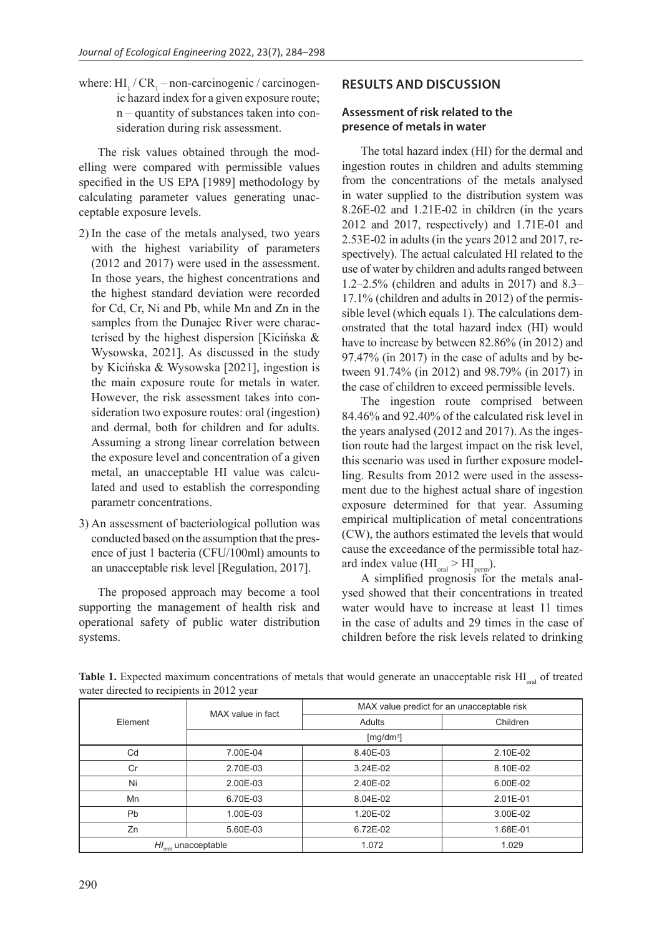where:  $HI_1 / CR_1$  – non-carcinogenic / carcinogenic hazard index for a given exposure route; n – quantity of substances taken into consideration during risk assessment.

The risk values obtained through the modelling were compared with permissible values specified in the US EPA [1989] methodology by calculating parameter values generating unacceptable exposure levels.

- 2) In the case of the metals analysed, two years with the highest variability of parameters (2012 and 2017) were used in the assessment. In those years, the highest concentrations and the highest standard deviation were recorded for Cd, Cr, Ni and Pb, while Mn and Zn in the samples from the Dunajec River were characterised by the highest dispersion [Kicińska & Wysowska, 2021]. As discussed in the study by Kicińska & Wysowska [2021], ingestion is the main exposure route for metals in water. However, the risk assessment takes into consideration two exposure routes: oral (ingestion) and dermal, both for children and for adults. Assuming a strong linear correlation between the exposure level and concentration of a given metal, an unacceptable HI value was calculated and used to establish the corresponding parametr concentrations.
- 3) An assessment of bacteriological pollution was conducted based on the assumption that the presence of just 1 bacteria (CFU/100ml) amounts to an unacceptable risk level [Regulation, 2017].

The proposed approach may become a tool supporting the management of health risk and operational safety of public water distribution systems.

# **RESULTS AND DISCUSSION**

# **Assessment of risk related to the presence of metals in water**

The total hazard index (HI) for the dermal and ingestion routes in children and adults stemming from the concentrations of the metals analysed in water supplied to the distribution system was 8.26E-02 and 1.21E-02 in children (in the years 2012 and 2017, respectively) and 1.71E-01 and 2.53E-02 in adults (in the years 2012 and 2017, respectively). The actual calculated HI related to the use of water by children and adults ranged between 1.2–2.5% (children and adults in 2017) and 8.3– 17.1% (children and adults in 2012) of the permissible level (which equals 1). The calculations demonstrated that the total hazard index (HI) would have to increase by between 82.86% (in 2012) and 97.47% (in 2017) in the case of adults and by between 91.74% (in 2012) and 98.79% (in 2017) in the case of children to exceed permissible levels.

The ingestion route comprised between 84.46% and 92.40% of the calculated risk level in the years analysed (2012 and 2017). As the ingestion route had the largest impact on the risk level, this scenario was used in further exposure modelling. Results from 2012 were used in the assessment due to the highest actual share of ingestion exposure determined for that year. Assuming empirical multiplication of metal concentrations (CW), the authors estimated the levels that would cause the exceedance of the permissible total hazard index value  $(HI_{\text{oral}} > HI_{\text{perm}})$ .

A simplified prognosis for the metals analysed showed that their concentrations in treated water would have to increase at least 11 times in the case of adults and 29 times in the case of children before the risk levels related to drinking

| $\mathbf{r}$ |                                 |                                            |          |  |  |  |  |
|--------------|---------------------------------|--------------------------------------------|----------|--|--|--|--|
| Element      | MAX value in fact               | MAX value predict for an unacceptable risk |          |  |  |  |  |
|              |                                 | Adults                                     | Children |  |  |  |  |
|              | [ $mg/dm3$ ]                    |                                            |          |  |  |  |  |
| Cd           | 7.00E-04                        | 8.40E-03                                   | 2.10E-02 |  |  |  |  |
| Cr           | 2.70E-03                        | 3.24E-02                                   | 8.10E-02 |  |  |  |  |
| Ni           | 2.00E-03                        | 2.40E-02                                   | 6.00E-02 |  |  |  |  |
| Mn           | 6.70E-03                        | 8.04E-02                                   | 2.01E-01 |  |  |  |  |
| Pb           | 1.00E-03                        | 1.20E-02                                   | 3.00E-02 |  |  |  |  |
| Zn           | 5.60E-03                        | 6.72E-02                                   | 1.68E-01 |  |  |  |  |
|              | $H_{\text{total}}$ unacceptable | 1.072                                      | 1.029    |  |  |  |  |

Table 1. Expected maximum concentrations of metals that would generate an unacceptable risk HI<sub>oral</sub> of treated water directed to recipients in 2012 year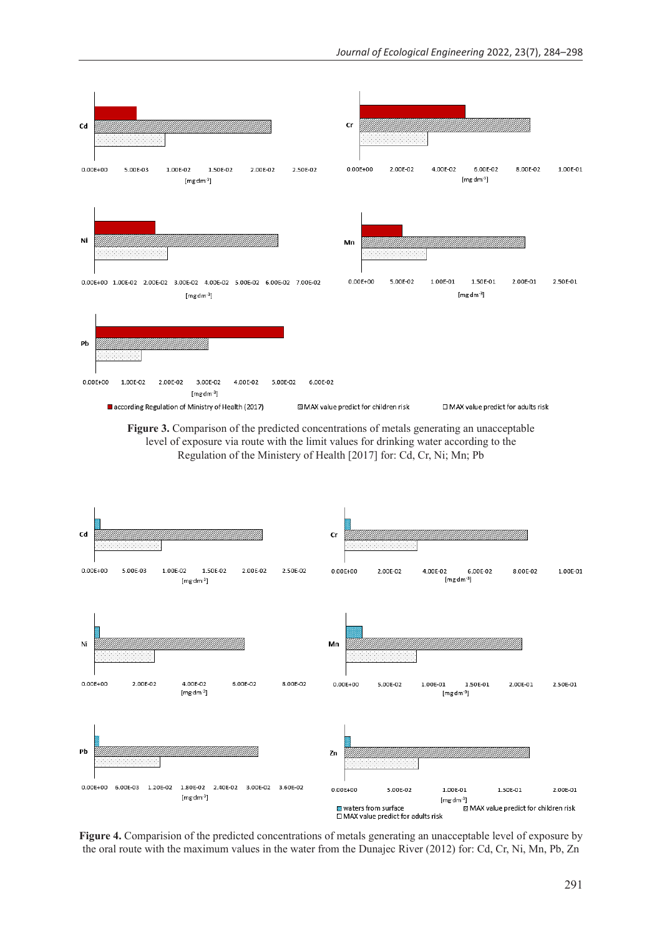





**Figure 4.** Comparision of the predicted concentrations of metals generating an unacceptable level of exposure by the oral route with the maximum values in the water from the Dunajec River (2012) for: Cd, Cr, Ni, Mn, Pb, Zn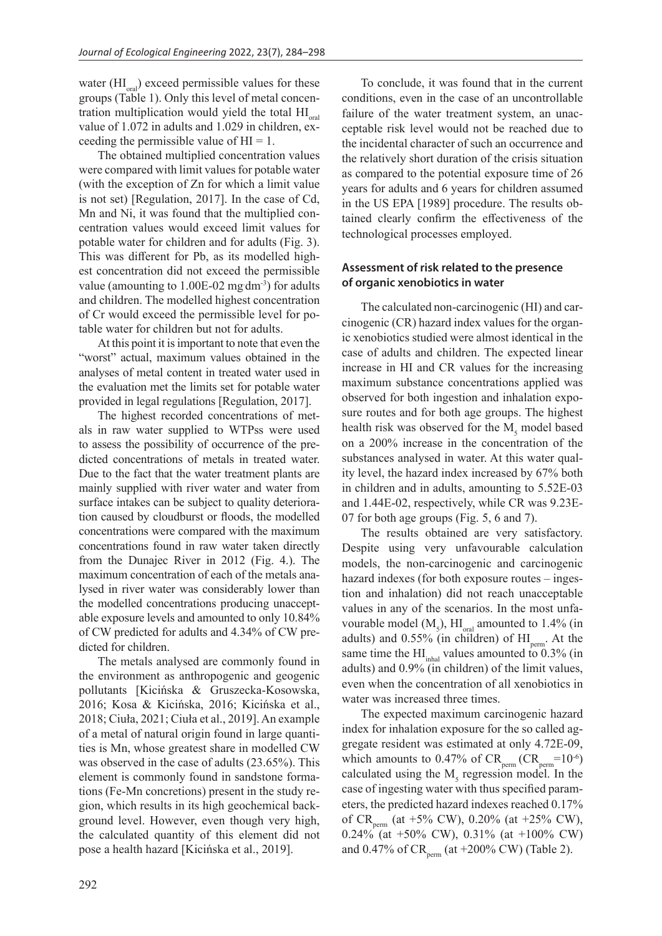water  $(HI_{\text{oral}})$  exceed permissible values for these groups (Table 1). Only this level of metal concentration multiplication would yield the total  $\text{HI}_{\text{oral}}$ value of 1.072 in adults and 1.029 in children, exceeding the permissible value of  $HI = 1$ .

The obtained multiplied concentration values were compared with limit values for potable water (with the exception of Zn for which a limit value is not set) [Regulation, 2017]. In the case of Cd, Mn and Ni, it was found that the multiplied concentration values would exceed limit values for potable water for children and for adults (Fig. 3). This was different for Pb, as its modelled highest concentration did not exceed the permissible value (amounting to  $1.00E-02$  mg dm<sup>-3</sup>) for adults and children. The modelled highest concentration of Cr would exceed the permissible level for potable water for children but not for adults.

At this point it is important to note that even the "worst" actual, maximum values obtained in the analyses of metal content in treated water used in the evaluation met the limits set for potable water provided in legal regulations [Regulation, 2017].

The highest recorded concentrations of metals in raw water supplied to WTPss were used to assess the possibility of occurrence of the predicted concentrations of metals in treated water. Due to the fact that the water treatment plants are mainly supplied with river water and water from surface intakes can be subject to quality deterioration caused by cloudburst or floods, the modelled concentrations were compared with the maximum concentrations found in raw water taken directly from the Dunajec River in 2012 (Fig. 4.). The maximum concentration of each of the metals analysed in river water was considerably lower than the modelled concentrations producing unacceptable exposure levels and amounted to only 10.84% of CW predicted for adults and 4.34% of CW predicted for children.

The metals analysed are commonly found in the environment as anthropogenic and geogenic pollutants [Kicińska & Gruszecka-Kosowska, 2016; Kosa & Kicińska, 2016; Kicińska et al., 2018; Ciuła, 2021; Ciuła et al., 2019]. An example of a metal of natural origin found in large quantities is Mn, whose greatest share in modelled CW was observed in the case of adults (23.65%). This element is commonly found in sandstone formations (Fe-Mn concretions) present in the study region, which results in its high geochemical background level. However, even though very high, the calculated quantity of this element did not pose a health hazard [Kicińska et al., 2019].

To conclude, it was found that in the current conditions, even in the case of an uncontrollable failure of the water treatment system, an unacceptable risk level would not be reached due to the incidental character of such an occurrence and the relatively short duration of the crisis situation as compared to the potential exposure time of 26 years for adults and 6 years for children assumed in the US EPA [1989] procedure. The results obtained clearly confirm the effectiveness of the technological processes employed.

# **Assessment of risk related to the presence of organic xenobiotics in water**

The calculated non-carcinogenic (HI) and carcinogenic (CR) hazard index values for the organic xenobiotics studied were almost identical in the case of adults and children. The expected linear increase in HI and CR values for the increasing maximum substance concentrations applied was observed for both ingestion and inhalation exposure routes and for both age groups. The highest health risk was observed for the  $M_5$  model based on a 200% increase in the concentration of the substances analysed in water. At this water quality level, the hazard index increased by 67% both in children and in adults, amounting to 5.52E-03 and 1.44E-02, respectively, while CR was 9.23E-07 for both age groups (Fig. 5, 6 and 7).

The results obtained are very satisfactory. Despite using very unfavourable calculation models, the non-carcinogenic and carcinogenic hazard indexes (for both exposure routes – ingestion and inhalation) did not reach unacceptable values in any of the scenarios. In the most unfavourable model  $(M_5)$ ,  $HI_{\text{oral}}$  amounted to 1.4% (in adults) and  $0.55\%$  (in children) of  $\text{HI}_{\text{perm}}$ . At the same time the  $\rm HI_{inhal}$  values amounted to 0.3% (in adults) and 0.9% (in children) of the limit values, even when the concentration of all xenobiotics in water was increased three times.

The expected maximum carcinogenic hazard index for inhalation exposure for the so called aggregate resident was estimated at only 4.72E-09, which amounts to  $0.47\%$  of  $CR_{perm}$  ( $CR_{perm}$ =10<sup>-6</sup>) calculated using the  $M<sub>5</sub>$  regression model. In the case of ingesting water with thus specified parameters, the predicted hazard indexes reached 0.17% of CR<sub>perm</sub> (at +5% CW), 0.20% (at +25% CW),  $0.24\%$  (at +50% CW), 0.31% (at +100% CW) and 0.47% of  $CR_{\text{perm}}$  (at +200% CW) (Table 2).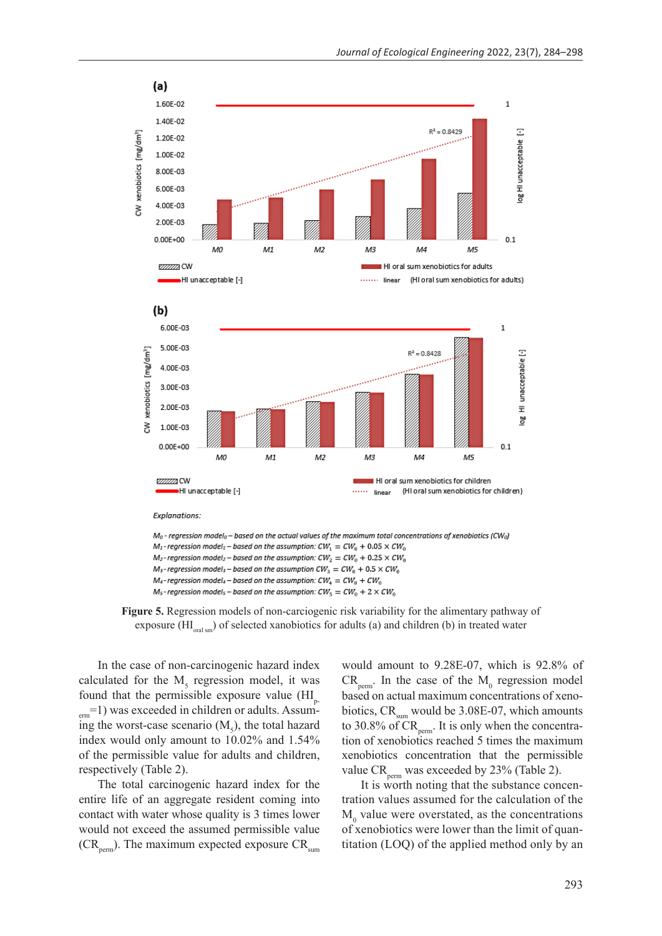

**Figure 5.** Regression models of non-carciogenic risk variability for the alimentary pathway of exposure  $(HI_{\text{total sm}})$  of selected xanobiotics for adults (a) and children (b) in treated water

In the case of non-carcinogenic hazard index calculated for the  $M<sub>5</sub>$  regression model, it was found that the permissible exposure value  $(HI_{p})$  $_{\text{erm}}=1$ ) was exceeded in children or adults. Assuming the worst-case scenario  $(M<sub>5</sub>)$ , the total hazard index would only amount to 10.02% and 1.54% of the permissible value for adults and children, respectively (Table 2).

The total carcinogenic hazard index for the entire life of an aggregate resident coming into contact with water whose quality is 3 times lower would not exceed the assumed permissible value  $(CR_{\text{perm}})$ . The maximum expected exposure  $CR_{\text{sum}}$ 

would amount to 9.28E-07, which is 92.8% of  $CR_{\text{perm}}$ . In the case of the  $M_0$  regression model based on actual maximum concentrations of xenobiotics,  $CR_{\text{sum}}$  would be 3.08E-07, which amounts to 30.8% of  $CR_{perm}$ . It is only when the concentration of xenobiotics reached 5 times the maximum xenobiotics concentration that the permissible value  $CR_{\text{perm}}$  was exceeded by 23% (Table 2).

It is worth noting that the substance concentration values assumed for the calculation of the  $M_0$  value were overstated, as the concentrations of xenobiotics were lower than the limit of quantitation (LOQ) of the applied method only by an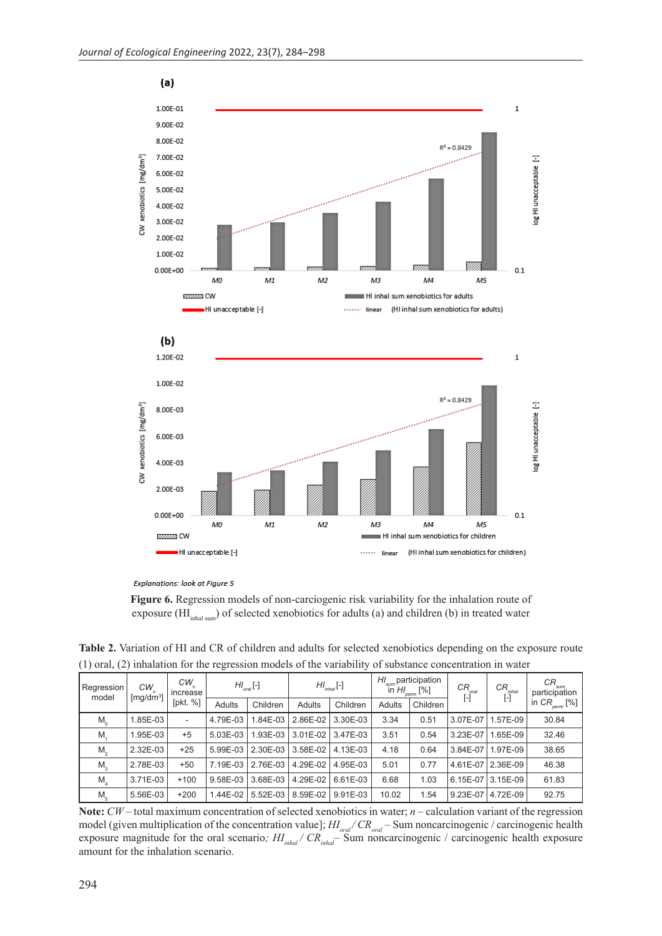



**Figure 6.** Regression models of non-carciogenic risk variability for the inhalation route of exposure (HI<sub>inhal sum</sub>) of selected xenobiotics for adults (a) and children (b) in treated water

**Table 2.** Variation of HI and CR of children and adults for selected xenobiotics depending on the exposure route (1) oral, (2) inhalation for the regression models of the variability of substance concentration in water

| Regression<br>model | $CW_n$<br>[ $mg/dm3$ ] | $CW_n$<br>increase<br>[pkt. %] | $H_{\text{oral}}$ [-] |          | $H I_{inhal}$ [-] |          | $H_{sum}$ participation<br>in $H_{\text{perm}}$ [%] |          | $CR_{_{\textit{oral}}}$<br>$[\cdot]$ | $\begin{array}{c} \mathsf{CR}_{_{inhal} } \ \mathsf{[-]} \end{array}$ | $CR_{\mathit{sum}}$<br>participation |
|---------------------|------------------------|--------------------------------|-----------------------|----------|-------------------|----------|-----------------------------------------------------|----------|--------------------------------------|-----------------------------------------------------------------------|--------------------------------------|
|                     |                        |                                | Adults                | Children | <b>Adults</b>     | Children | Adults                                              | Children |                                      |                                                                       | in $CR_{perm}$ [%]                   |
| $M_{\odot}$         | 1.85E-03               | $\overline{\phantom{a}}$       | 4.79E-03              | 1.84E-03 | 2.86E-02          | 3.30E-03 | 3.34                                                | 0.51     | 3.07E-07                             | .57E-09                                                               | 30.84                                |
| M.                  | 1.95E-03               | $+5$                           | 5.03E-03              | 1.93E-03 | 3.01E-02          | 3.47E-03 | 3.51                                                | 0.54     | 3.23E-07                             | .65E-09                                                               | 32.46                                |
| $M_{\odot}$         | 2.32E-03               | $+25$                          | 5.99E-03              | 2.30E-03 | 3.58E-02          | 4.13E-03 | 4.18                                                | 0.64     | 3.84E-07                             | 1.97E-09                                                              | 38.65                                |
| M <sub>3</sub>      | 2.78E-03               | $+50$                          | 7.19E-03              | 2.76E-03 | 4.29E-02          | 4.95E-03 | 5.01                                                | 0.77     |                                      | 4.61E-07 2.36E-09                                                     | 46.38                                |
| M,                  | 3.71E-03               | $+100$                         | 9.58E-03              | 3.68E-03 | 4.29E-02          | 6.61E-03 | 6.68                                                | 1.03     | 6.15E-07                             | $ 3.15E-09 $                                                          | 61.83                                |
| M <sub>5</sub>      | 5.56E-03               | $+200$                         | 1.44E-02              | 5.52E-03 | 8.59E-02          | 9.91E-03 | 10.02                                               | 1.54     | 9.23E-07                             | 4.72E-09                                                              | 92.75                                |

**Note:** *CW –* total maximum concentration of selected xenobiotics in water; *n –* calculation variant of the regression model (given multiplication of the concentration value];  $H I_{\text{total}}/CR_{\text{total}}$  – Sum noncarcinogenic / carcinogenic health exposure magnitude for the oral scenario;  $H_{inhal} / CR_{inhal}$  Sum noncarcinogenic / carcinogenic health exposure amount for the inhalation scenario.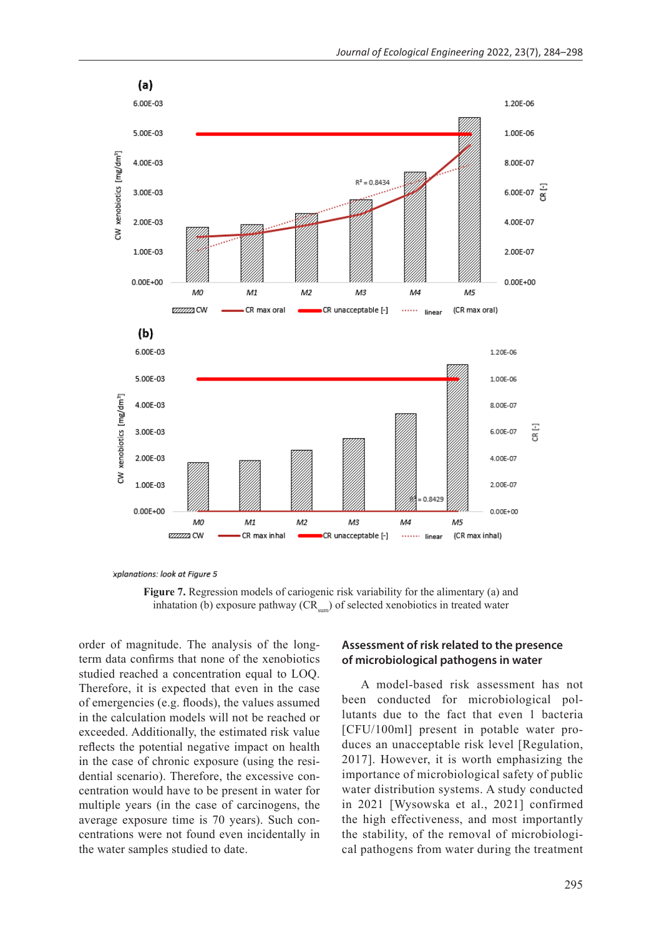

xplanations: look at Figure 5

**Figure 7.** Regression models of cariogenic risk variability for the alimentary (a) and inhatation (b) exposure pathway  $(CR_{sum})$  of selected xenobiotics in treated water

order of magnitude. The analysis of the longterm data confirms that none of the xenobiotics studied reached a concentration equal to LOQ. Therefore, it is expected that even in the case of emergencies (e.g. floods), the values assumed in the calculation models will not be reached or exceeded. Additionally, the estimated risk value reflects the potential negative impact on health in the case of chronic exposure (using the residential scenario). Therefore, the excessive concentration would have to be present in water for multiple years (in the case of carcinogens, the average exposure time is 70 years). Such concentrations were not found even incidentally in the water samples studied to date.

### **Assessment of risk related to the presence of microbiological pathogens in water**

A model-based risk assessment has not been conducted for microbiological pollutants due to the fact that even 1 bacteria [CFU/100ml] present in potable water produces an unacceptable risk level [Regulation, 2017]. However, it is worth emphasizing the importance of microbiological safety of public water distribution systems. A study conducted in 2021 [Wysowska et al., 2021] confirmed the high effectiveness, and most importantly the stability, of the removal of microbiological pathogens from water during the treatment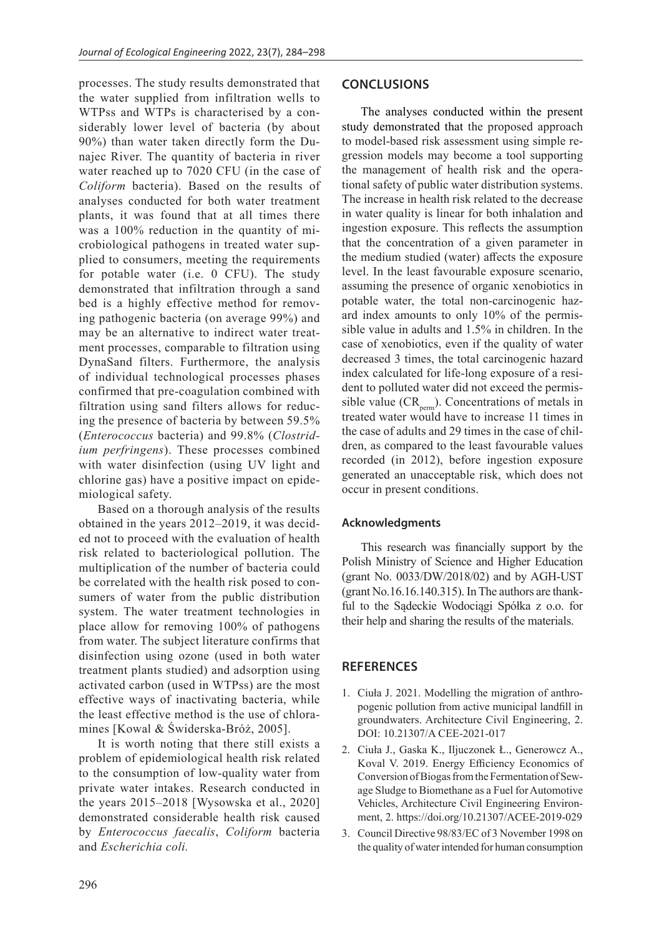processes. The study results demonstrated that the water supplied from infiltration wells to WTPss and WTPs is characterised by a considerably lower level of bacteria (by about 90%) than water taken directly form the Dunajec River. The quantity of bacteria in river water reached up to 7020 CFU (in the case of *Coliform* bacteria). Based on the results of analyses conducted for both water treatment plants, it was found that at all times there was a 100% reduction in the quantity of microbiological pathogens in treated water supplied to consumers, meeting the requirements for potable water (i.e. 0 CFU). The study demonstrated that infiltration through a sand bed is a highly effective method for removing pathogenic bacteria (on average 99%) and may be an alternative to indirect water treatment processes, comparable to filtration using DynaSand filters. Furthermore, the analysis of individual technological processes phases confirmed that pre-coagulation combined with filtration using sand filters allows for reducing the presence of bacteria by between 59.5% (*Enterococcus* bacteria) and 99.8% (*Clostridium perfringens*). These processes combined with water disinfection (using UV light and chlorine gas) have a positive impact on epidemiological safety.

Based on a thorough analysis of the results obtained in the years 2012–2019, it was decided not to proceed with the evaluation of health risk related to bacteriological pollution. The multiplication of the number of bacteria could be correlated with the health risk posed to consumers of water from the public distribution system. The water treatment technologies in place allow for removing 100% of pathogens from water. The subject literature confirms that disinfection using ozone (used in both water treatment plants studied) and adsorption using activated carbon (used in WTPss) are the most effective ways of inactivating bacteria, while the least effective method is the use of chloramines [Kowal & Świderska-Bróż, 2005].

It is worth noting that there still exists a problem of epidemiological health risk related to the consumption of low-quality water from private water intakes. Research conducted in the years 2015–2018 [Wysowska et al., 2020] demonstrated considerable health risk caused by *Enterococcus faecalis*, *Coliform* bacteria and *Escherichia coli.*

#### **CONCLUSIONS**

The analyses conducted within the present study demonstrated that the proposed approach to model-based risk assessment using simple regression models may become a tool supporting the management of health risk and the operational safety of public water distribution systems. The increase in health risk related to the decrease in water quality is linear for both inhalation and ingestion exposure. This reflects the assumption that the concentration of a given parameter in the medium studied (water) affects the exposure level. In the least favourable exposure scenario, assuming the presence of organic xenobiotics in potable water, the total non-carcinogenic hazard index amounts to only 10% of the permissible value in adults and 1.5% in children. In the case of xenobiotics, even if the quality of water decreased 3 times, the total carcinogenic hazard index calculated for life-long exposure of a resident to polluted water did not exceed the permissible value  $(CR_{\text{perm}})$ . Concentrations of metals in treated water would have to increase 11 times in the case of adults and 29 times in the case of children, as compared to the least favourable values recorded (in 2012), before ingestion exposure generated an unacceptable risk, which does not occur in present conditions.

#### **Acknowledgments**

This research was financially support by the Polish Ministry of Science and Higher Education (grant No. 0033/DW/2018/02) and by AGH-UST (grant No.16.16.140.315). In The authors are thankful to the Sądeckie Wodociągi Spółka z o.o. for their help and sharing the results of the materials.

### **REFERENCES**

- 1. Ciuła J. 2021. Modelling the migration of anthropogenic pollution from active municipal landfill in groundwaters. Architecture Civil Engineering, 2. DOI: 10.21307/A CEE-2021-017
- 2. Ciuła J., Gaska K., Iljuczonek Ł., Generowcz A., Koval V. 2019. Energy Efficiency Economics of Conversion of Biogas from the Fermentation of Sewage Sludge to Biomethane as a Fuel for Automotive Vehicles, Architecture Civil Engineering Environment, 2. https://doi.org/10.21307/ACEE-2019-029
- 3. Council Directive 98/83/EC of 3 November 1998 on the quality of water intended for human consumption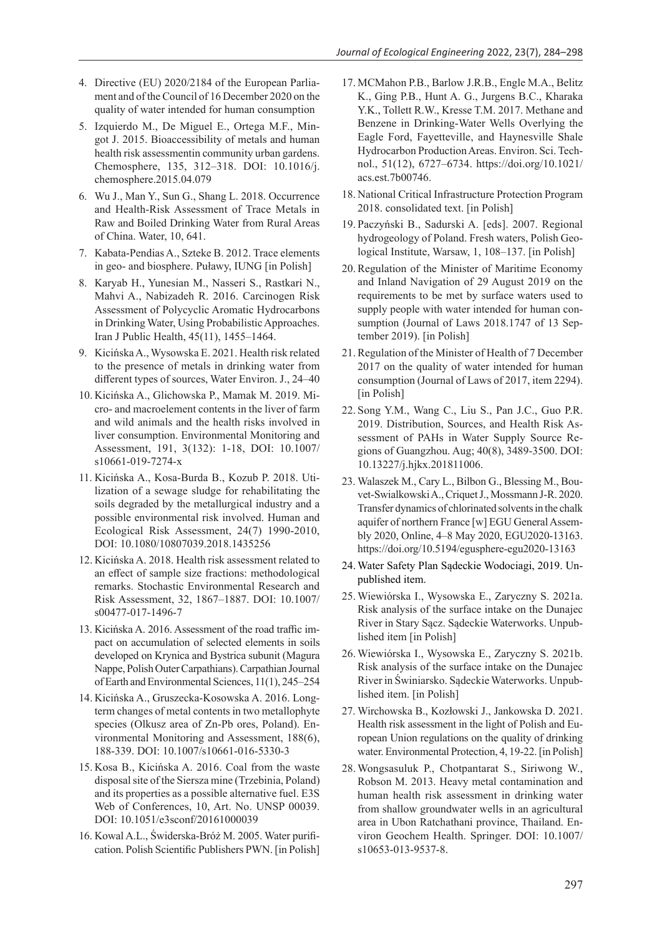- 4. Directive (EU) 2020/2184 of the European Parliament and of the Council of 16 December 2020 on the quality of water intended for human consumption
- 5. Izquierdo M., De Miguel E., Ortega M.F., Mingot J. 2015. Bioaccessibility of metals and human health risk assessmentin community urban gardens. Chemosphere, 135, 312–318. DOI: 10.1016/j. chemosphere.2015.04.079
- 6. Wu J., Man Y., Sun G., Shang L. 2018. Occurrence and Health-Risk Assessment of Trace Metals in Raw and Boiled Drinking Water from Rural Areas of China. Water, 10, 641.
- 7. Kabata-Pendias A., Szteke B. 2012. Trace elements in geo- and biosphere. Puławy, IUNG [in Polish]
- 8. Karyab H., Yunesian M., Nasseri S., Rastkari N., Mahvi A., Nabizadeh R. 2016. Carcinogen Risk Assessment of Polycyclic Aromatic Hydrocarbons in Drinking Water, Using Probabilistic Approaches. Iran J Public Health, 45(11), 1455–1464.
- 9. Kicińska A., Wysowska E. 2021. Health risk related to the presence of metals in drinking water from different types of sources, Water Environ. J., 24–40
- 10. Kicińska A., Glichowska P., Mamak M. 2019. Micro- and macroelement contents in the liver of farm and wild animals and the health risks involved in liver consumption. Environmental Monitoring and Assessment, 191, 3(132): 1-18, DOI: 10.1007/ s10661-019-7274-x
- 11. Kicińska A., Kosa-Burda B., Kozub P. 2018. Utilization of a sewage sludge for rehabilitating the soils degraded by the metallurgical industry and a possible environmental risk involved. Human and Ecological Risk Assessment, 24(7) 1990-2010, DOI: 10.1080/10807039.2018.1435256
- 12. Kicińska A. 2018. Health risk assessment related to an effect of sample size fractions: methodological remarks. Stochastic Environmental Research and Risk Assessment, 32, 1867–1887. DOI: 10.1007/ s00477-017-1496-7
- 13. Kicińska A. 2016. Assessment of the road traffic impact on accumulation of selected elements in soils developed on Krynica and Bystrica subunit (Magura Nappe, Polish Outer Carpathians). Carpathian Journal of Earth and Environmental Sciences, 11(1), 245–254
- 14. Kicińska A., Gruszecka-Kosowska A. 2016. Longterm changes of metal contents in two metallophyte species (Olkusz area of Zn-Pb ores, Poland). Environmental Monitoring and Assessment, 188(6), 188-339. DOI: 10.1007/s10661-016-5330-3
- 15. Kosa B., Kicińska A. 2016. Coal from the waste disposal site of the Siersza mine (Trzebinia, Poland) and its properties as a possible alternative fuel. E3S Web of Conferences, 10, Art. No. UNSP 00039. DOI: 10.1051/e3sconf/20161000039
- 16. Kowal A.L., Świderska-Bróż M. 2005. Water purification. Polish Scientific Publishers PWN. [in Polish]
- 17. MCMahon P.B., Barlow J.R.B., Engle M.A., Belitz K., Ging P.B., Hunt A. G., Jurgens B.C., Kharaka Y.K., Tollett R.W., Kresse T.M. 2017. Methane and Benzene in Drinking-Water Wells Overlying the Eagle Ford, Fayetteville, and Haynesville Shale Hydrocarbon Production Areas. Environ. Sci. Technol., 51(12), 6727–6734. https://doi.org/10.1021/ acs.est.7b00746.
- 18. National Critical Infrastructure Protection Program 2018. consolidated text. [in Polish]
- 19. Paczyński B., Sadurski A. [eds]. 2007. Regional hydrogeology of Poland. Fresh waters, Polish Geological Institute, Warsaw, 1, 108–137. [in Polish]
- 20. Regulation of the Minister of Maritime Economy and Inland Navigation of 29 August 2019 on the requirements to be met by surface waters used to supply people with water intended for human consumption (Journal of Laws 2018.1747 of 13 September 2019). [in Polish]
- 21. Regulation of the Minister of Health of 7 December 2017 on the quality of water intended for human consumption (Journal of Laws of 2017, item 2294). [in Polish]
- 22. Song Y.M., Wang C., Liu S., Pan J.C., Guo P.R. 2019. Distribution, Sources, and Health Risk Assessment of PAHs in Water Supply Source Regions of Guangzhou. Aug; 40(8), 3489-3500. DOI: 10.13227/j.hjkx.201811006.
- 23. Walaszek M., Cary L., Bilbon G., Blessing M., Bouvet-Swialkowski A., Criquet J., Mossmann J-R. 2020. Transfer dynamics of chlorinated solvents in the chalk aquifer of northern France [w] EGU General Assembly 2020, Online, 4–8 May 2020, EGU2020-13163. https://doi.org/10.5194/egusphere-egu2020-13163
- 24. Water Safety Plan Sądeckie Wodociagi, 2019. Unpublished item.
- 25. Wiewiórska I., Wysowska E., Zaryczny S. 2021a. Risk analysis of the surface intake on the Dunajec River in Stary Sącz. Sądeckie Waterworks. Unpublished item [in Polish]
- 26. Wiewiórska I., Wysowska E., Zaryczny S. 2021b. Risk analysis of the surface intake on the Dunajec River in Świniarsko. Sądeckie Waterworks. Unpublished item. [in Polish]
- 27. Wirchowska B., Kozłowski J., Jankowska D. 2021. Health risk assessment in the light of Polish and European Union regulations on the quality of drinking water. Environmental Protection, 4, 19-22. [in Polish]
- 28. Wongsasuluk P., Chotpantarat S., Siriwong W., Robson M. 2013. Heavy metal contamination and human health risk assessment in drinking water from shallow groundwater wells in an agricultural area in Ubon Ratchathani province, Thailand. Environ Geochem Health. Springer. DOI: 10.1007/ s10653-013-9537-8.